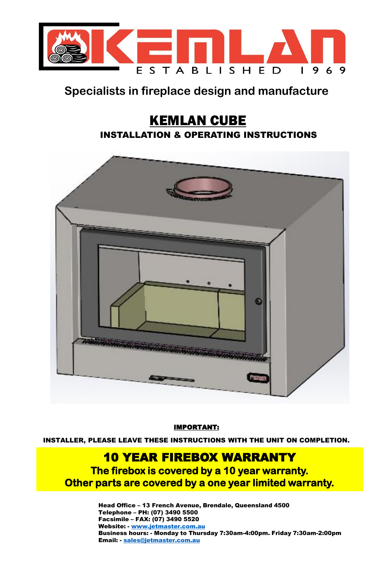

# **Specialists in fireplace design and manufacture**

# KEMLAN CUBE INSTALLATION & OPERATING INSTRUCTIONS



IMPORTANT:

INSTALLER, PLEASE LEAVE THESE INSTRUCTIONS WITH THE UNIT ON COMPLETION.

# 10 YEAR FIREBOX WARRANTY

**The firebox is covered by a 10 year warranty. Other parts are covered by a one year limited warranty.**

> Head Office – 13 French Avenue, Brendale, Queensland 4500 Telephone – PH: (07) 3490 5500 Facsimile – FAX: (07) 3490 5520 Website: - [www.jetmaster.com.au](http://www.kemlan.com/) Business hours: - Monday to Thursday 7:30am-4:00pm. Friday 7:30am-2:00pm Email: - [sales@jetmaster.com.au](mailto:sales@kemlan.com.au)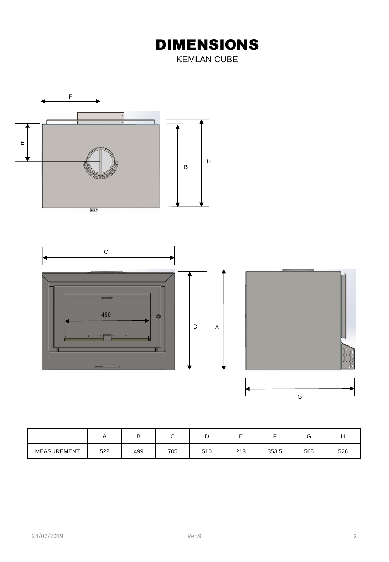# DIMENSIONS KEMLAN CUBE





|                    |     | ້   |     | -   | -<br>- | -     |     |     |
|--------------------|-----|-----|-----|-----|--------|-------|-----|-----|
| <b>MEASUREMENT</b> | 522 | 499 | 705 | 510 | 218    | 353.5 | 568 | 526 |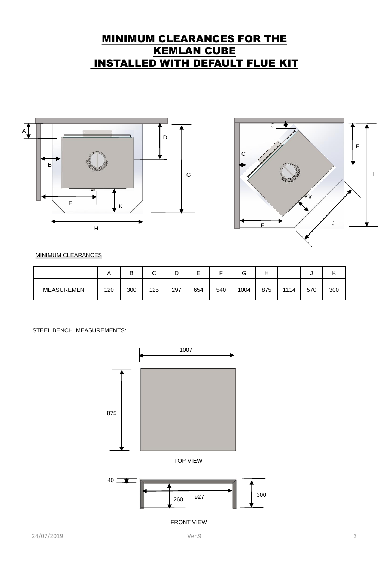## MINIMUM CLEARANCES FOR THE KEMLAN CUBE INSTALLED WITH DEFAULT FLUE KIT





**MINIMUM CLEARANCES:** 

|                    | Α   | в   | ⌒<br>ັ | n.<br>◡ | -   |     | G    |     |      |     | ''  |
|--------------------|-----|-----|--------|---------|-----|-----|------|-----|------|-----|-----|
| <b>MEASUREMENT</b> | 120 | 300 | 125    | 297     | 654 | 540 | 1004 | 875 | 1114 | 570 | 300 |

STEEL BENCH MEASUREMENTS:

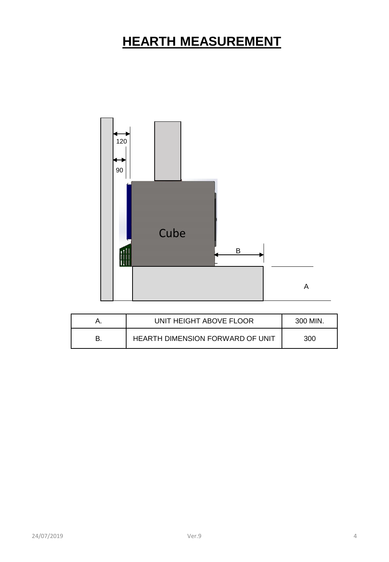# **HEARTH MEASUREMENT**



| UNIT HEIGHT ABOVE FLOOR          | 300 MIN. |
|----------------------------------|----------|
| HEARTH DIMENSION FORWARD OF UNIT | 300      |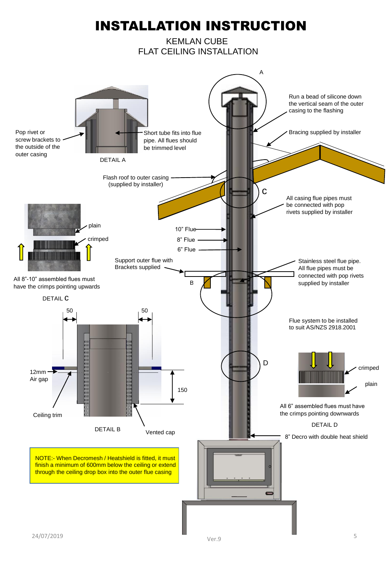# INSTALLATION INSTRUCTION

KEMLAN CUBE FLAT CEILING INSTALLATION

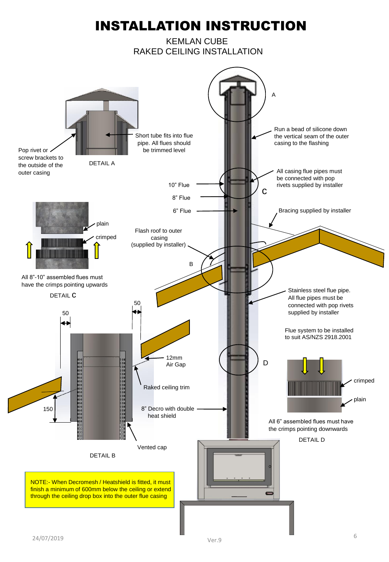# INSTALLATION INSTRUCTION

KEMLAN CUBE RAKED CEILING INSTALLATION

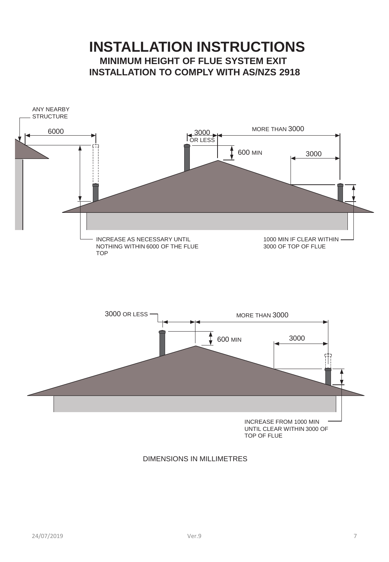## **INSTALLATION INSTRUCTIONS MINIMUM HEIGHT OF FLUE SYSTEM EXIT INSTALLATION TO COMPLY WITH AS/NZS 2918**



#### DIMENSIONS IN MILLIMETRES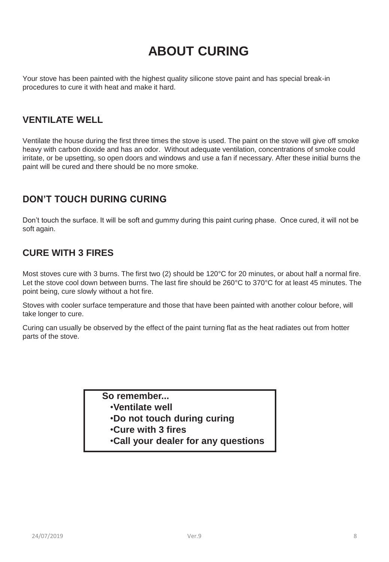# **ABOUT CURING**

Your stove has been painted with the highest quality silicone stove paint and has special break-in procedures to cure it with heat and make it hard.

## **VENTILATE WELL**

Ventilate the house during the first three times the stove is used. The paint on the stove will give off smoke heavy with carbon dioxide and has an odor. Without adequate ventilation, concentrations of smoke could irritate, or be upsetting, so open doors and windows and use a fan if necessary. After these initial burns the paint will be cured and there should be no more smoke.

## **DON'T TOUCH DURING CURING**

Don't touch the surface. It will be soft and gummy during this paint curing phase. Once cured, it will not be soft again.

## **CURE WITH 3 FIRES**

Most stoves cure with 3 burns. The first two (2) should be 120°C for 20 minutes, or about half a normal fire. Let the stove cool down between burns. The last fire should be 260°C to 370°C for at least 45 minutes. The point being, cure slowly without a hot fire.

Stoves with cooler surface temperature and those that have been painted with another colour before, will take longer to cure.

Curing can usually be observed by the effect of the paint turning flat as the heat radiates out from hotter parts of the stove.

#### **So remember...**

- •**Ventilate well**
- •**Do not touch during curing**
- •**Cure with 3 fires**
- •**Call your dealer for any questions**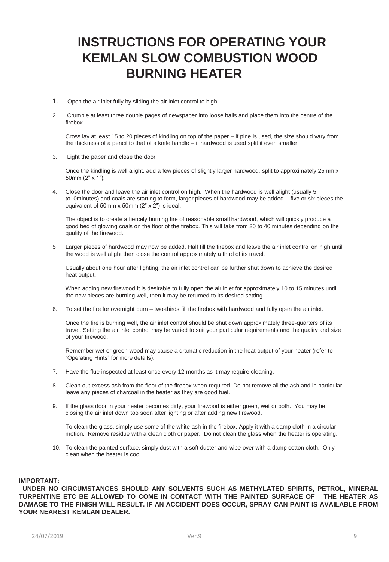# **INSTRUCTIONS FOR OPERATING YOUR KEMLAN SLOW COMBUSTION WOOD BURNING HEATER**

- 1. Open the air inlet fully by sliding the air inlet control to high.
- 2. Crumple at least three double pages of newspaper into loose balls and place them into the centre of the firebox.

Cross lay at least 15 to 20 pieces of kindling on top of the paper – if pine is used, the size should vary from the thickness of a pencil to that of a knife handle – if hardwood is used split it even smaller.

3. Light the paper and close the door.

Once the kindling is well alight, add a few pieces of slightly larger hardwood, split to approximately 25mm x 50mm (2" x 1").

4. Close the door and leave the air inlet control on high. When the hardwood is well alight (usually 5 to10minutes) and coals are starting to form, larger pieces of hardwood may be added – five or six pieces the equivalent of 50mm x 50mm (2" x 2") is ideal.

The object is to create a fiercely burning fire of reasonable small hardwood, which will quickly produce a good bed of glowing coals on the floor of the firebox. This will take from 20 to 40 minutes depending on the quality of the firewood.

5 Larger pieces of hardwood may now be added. Half fill the firebox and leave the air inlet control on high until the wood is well alight then close the control approximately a third of its travel.

Usually about one hour after lighting, the air inlet control can be further shut down to achieve the desired heat output.

When adding new firewood it is desirable to fully open the air inlet for approximately 10 to 15 minutes until the new pieces are burning well, then it may be returned to its desired setting.

6. To set the fire for overnight burn – two-thirds fill the firebox with hardwood and fully open the air inlet.

Once the fire is burning well, the air inlet control should be shut down approximately three-quarters of its travel. Setting the air inlet control may be varied to suit your particular requirements and the quality and size of your firewood.

Remember wet or green wood may cause a dramatic reduction in the heat output of your heater (refer to "Operating Hints" for more details).

- 7. Have the flue inspected at least once every 12 months as it may require cleaning.
- 8. Clean out excess ash from the floor of the firebox when required. Do not remove all the ash and in particular leave any pieces of charcoal in the heater as they are good fuel.
- 9. If the glass door in your heater becomes dirty, your firewood is either green, wet or both. You may be closing the air inlet down too soon after lighting or after adding new firewood.

To clean the glass, simply use some of the white ash in the firebox. Apply it with a damp cloth in a circular motion. Remove residue with a clean cloth or paper. Do not clean the glass when the heater is operating.

10. To clean the painted surface, simply dust with a soft duster and wipe over with a damp cotton cloth. Only clean when the heater is cool.

#### **IMPORTANT:**

**UNDER NO CIRCUMSTANCES SHOULD ANY SOLVENTS SUCH AS METHYLATED SPIRITS, PETROL, MINERAL TURPENTINE ETC BE ALLOWED TO COME IN CONTACT WITH THE PAINTED SURFACE OF THE HEATER AS DAMAGE TO THE FINISH WILL RESULT. IF AN ACCIDENT DOES OCCUR, SPRAY CAN PAINT IS AVAILABLE FROM YOUR NEAREST KEMLAN DEALER.**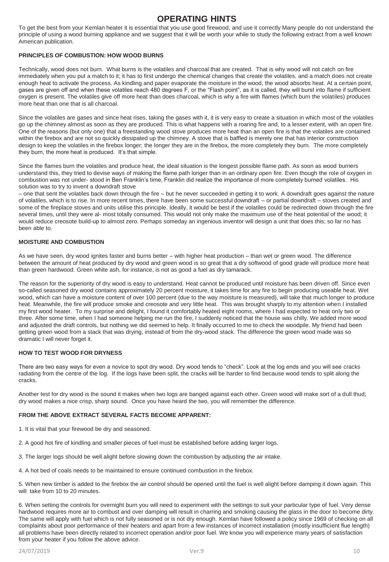### **OPERATING HINTS**

To get the best from your Kemlan heater it is essential that you use good firewood, and use it correctly Many people do not understand the principle of using a wood burning appliance and we suggest that it will be worth your while to study the following extract from a well known American publication.

#### **PRINCIPLES OF COMBUSTION: HOW WOOD BURNS**

Technically, wood does not burn. What burns is the volatiles and charcoal that are created. That is why wood will not catch on fire immediately when you put a match to it; it has to first undergo the chemical changes that create the volatiles, and a match does not create enough heat to activate the process. As kindling and paper evaporate the moisture in the wood, the wood absorbs heat. At a certain point, gases are given off and when these volatiles reach 480 degrees F, or the "Flash point", as it is called, they will burst into flame if sufficient oxygen is present. The volatiles give off more heat than does charcoal, which is why a fire with flames (which burn the volatiles) produces more heat than one that is all charcoal.

Since the volatiles are gases and since heat rises, taking the gases with it, it is very easy to create a situation in which most of the volatiles go up the chimney almost as soon as they are produced. This is what happens with a roaring fire and, to a lesser extent, with an open fire. One of the reasons (but only one) that a freestanding wood stove produces more heat than an open fire is that the volatiles are contained within the firebox and are not so quickly dissipated up the chimney. A stove that is baffled is merely one that has interior construction design to keep the volatiles in the firebox longer; the longer they are in the firebox, the more completely they burn. The more completely they burn, the more heat is produced. It's that simple.

Since the flames burn the volatiles and produce heat, the ideal situation is the longest possible flame path. As soon as wood burners understand this, they tried to devise ways of making the flame path longer than in an ordinary open fire. Even though the role of oxygen in combustion was not under- stood in Ben Franklin's time, Franklin did realize the importance of more completely burned volatiles. His solution was to try to invent a downdraft stove

– one that sent the volatiles back down through the fire – but he never succeeded in getting it to work. A downdraft goes against the nature of volatiles, which is to rise. In more recent times, there have been some successful downdraft – or partial downdraft – stoves created and some of the fireplace stoves and units utilise this principle. Ideally, it would be best if the volatiles could be redirected down through the fire several times, until they were al- most totally consumed. This would not only make the maximum use of the heat potential of the wood; it would reduce creosote build-up to almost zero. Perhaps someday an ingenious inventor will design a unit that does this; so far no has been able to.

#### **MOISTURE AND COMBUSTION**

As we have seen, dry wood ignites faster and burns better – with higher heat production – than wet or green wood. The difference between the amount of heat produced by dry wood and green wood is so great that a dry softwood of good grade will produce more heat than green hardwood. Green white ash, for instance, is not as good a fuel as dry tamarack.

The reason for the superiority of dry wood is easy to understand. Heat cannot be produced until moisture has been driven off. Since even so-called seasoned dry wood contains approximately 20 percent moisture, it takes time for any fire to begin producing useable heat. Wet wood, which can have a moisture content of over 100 percent (due to the way moisture is measured), will take that much longer to produce heat. Meanwhile, the fire will produce smoke and creosote and very little heat. This was brought sharply to my attention when I installed my first wood heater. To my surprise and delight, I found it comfortably heated eight rooms, where I had expected to heat only two or three. After some time, when I had someone helping me run the fire, I suddenly noticed that the house was chilly. We added more wood and adjusted the draft controls, but nothing we did seemed to help. It finally occurred to me to check the woodpile. My friend had been getting green wood from a stack that was drying, instead of from the dry-wood stack. The difference the green wood made was so dramatic I will never forget it.

#### **HOW TO TEST WOOD FOR DRYNESS**

There are two easy ways for even a novice to spot dry wood. Dry wood tends to "check". Look at the log ends and you will see cracks radiating from the centre of the log. If the logs have been split, the cracks will be harder to find because wood tends to split along the cracks.

Another test for dry wood is the sound it makes when two logs are banged against each other. Green wood will make sort of a dull thud; dry wood makes a nice crisp, sharp sound. Once you have heard the two, you will remember the difference.

#### **FROM THE ABOVE EXTRACT SEVERAL FACTS BECOME APPARENT:**

- 1. It is vital that your firewood be dry and seasoned.
- 2. A good hot fire of kindling and smaller pieces of fuel must be established before adding larger logs.
- 3. The larger logs should be well alight before slowing down the combustion by adjusting the air intake.
- 4. A hot bed of coals needs to be maintained to ensure continued combustion in the firebox.

5. When new timber is added to the firebox the air control should be opened until the fuel is well alight before damping it down again. This will take from 10 to 20 minutes.

6. When setting the controls for overnight burn you will need to experiment with the settings to suit your particular type of fuel. Very dense hardwood requires more air to combust and over damping will result in charring and smoking causing the glass in the door to become dirty. The same will apply with fuel which is not fully seasoned or is not dry enough. Kemlan have followed a policy since 1969 of checking on all complaints about poor performance of their heaters and apart from a few instances of incorrect installation (mostly insufficient flue length) all problems have been directly related to incorrect operation and/or poor fuel. We know you will experience many years of satisfaction from your heater if you follow the above advice.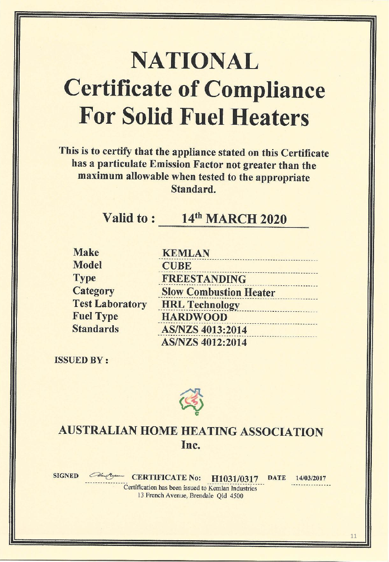# **NATIONAL Certificate of Compliance For Solid Fuel Heaters**

This is to certify that the appliance stated on this Certificate has a particulate Emission Factor not greater than the maximum allowable when tested to the appropriate Standard.

# Valid to: 14th MARCH 2020

**Make Model Type Category Test Laboratory Fuel Type Standards** 

| <b>KEMLAN</b>                 |
|-------------------------------|
| <b>CUBE</b>                   |
| <b>FREESTANDING</b>           |
| <b>Slow Combustion Heater</b> |
| <b>HRL Technology</b>         |
| <b>HARDWOOD</b>               |
| <b>AS/NZS 4013:2014</b>       |
| <b>AS/NZS 4012:2014</b>       |

**ISSUED BY:** 



# **AUSTRALIAN HOME HEATING ASSOCIATION** Inc.

**SIGNED** 

Compren **CERTIFICATE No: H1031/0317 DATE** Certification has been issued to Kemlan Industries 13 French Avenue, Brendale Qld 4500

14/03/2017